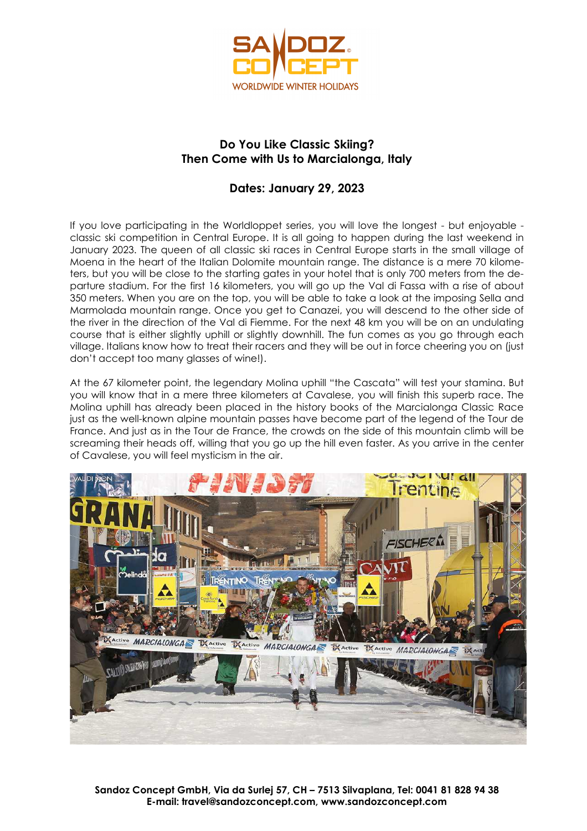

# **Do You Like Classic Skiing? Then Come with Us to Marcialonga, Italy**

# **Dates: January 29, 2023**

If you love participating in the Worldloppet series, you will love the longest - but enjoyable classic ski competition in Central Europe. It is all going to happen during the last weekend in January 2023. The queen of all classic ski races in Central Europe starts in the small village of Moena in the heart of the Italian Dolomite mountain range. The distance is a mere 70 kilometers, but you will be close to the starting gates in your hotel that is only 700 meters from the departure stadium. For the first 16 kilometers, you will go up the Val di Fassa with a rise of about 350 meters. When you are on the top, you will be able to take a look at the imposing Sella and Marmolada mountain range. Once you get to Canazei, you will descend to the other side of the river in the direction of the Val di Fiemme. For the next 48 km you will be on an undulating course that is either slightly uphill or slightly downhill. The fun comes as you go through each village. Italians know how to treat their racers and they will be out in force cheering you on (just don't accept too many glasses of wine!).

At the 67 kilometer point, the legendary Molina uphill "the Cascata" will test your stamina. But you will know that in a mere three kilometers at Cavalese, you will finish this superb race. The Molina uphill has already been placed in the history books of the Marcialonga Classic Race just as the well-known alpine mountain passes have become part of the legend of the Tour de France. And just as in the Tour de France, the crowds on the side of this mountain climb will be screaming their heads off, willing that you go up the hill even faster. As you arrive in the center of Cavalese, you will feel mysticism in the air.

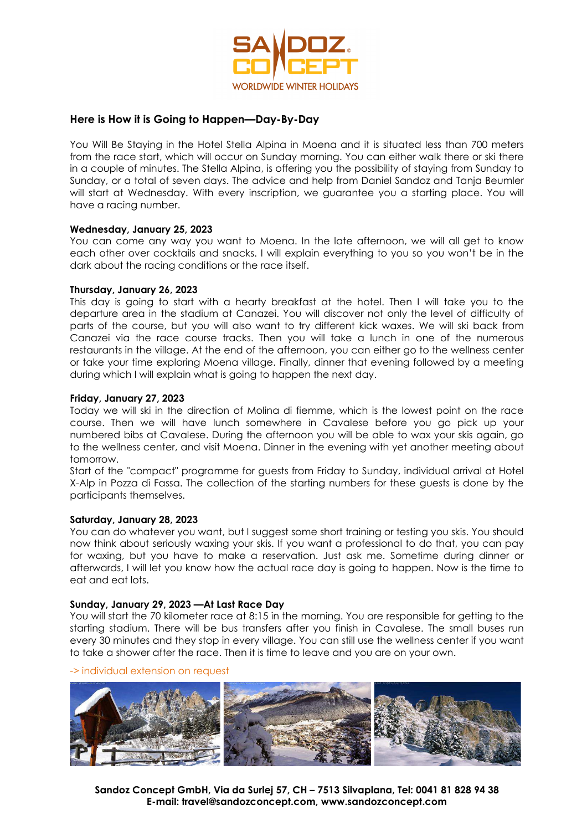

### **Here is How it is Going to Happen—Day-By-Day**

You Will Be Staying in the Hotel Stella Alpina in Moena and it is situated less than 700 meters from the race start, which will occur on Sunday morning. You can either walk there or ski there in a couple of minutes. The Stella Alpina, is offering you the possibility of staying from Sunday to Sunday, or a total of seven days. The advice and help from Daniel Sandoz and Tanja Beumler will start at Wednesday. With every inscription, we guarantee you a starting place. You will have a racing number.

#### **Wednesday, January 25, 2023**

You can come any way you want to Moena. In the late afternoon, we will all get to know each other over cocktails and snacks. I will explain everything to you so you won't be in the dark about the racing conditions or the race itself.

#### **Thursday, January 26, 2023**

This day is going to start with a hearty breakfast at the hotel. Then I will take you to the departure area in the stadium at Canazei. You will discover not only the level of difficulty of parts of the course, but you will also want to try different kick waxes. We will ski back from Canazei via the race course tracks. Then you will take a lunch in one of the numerous restaurants in the village. At the end of the afternoon, you can either go to the wellness center or take your time exploring Moena village. Finally, dinner that evening followed by a meeting during which I will explain what is going to happen the next day.

#### **Friday, January 27, 2023**

Today we will ski in the direction of Molina di fiemme, which is the lowest point on the race course. Then we will have lunch somewhere in Cavalese before you go pick up your numbered bibs at Cavalese. During the afternoon you will be able to wax your skis again, go to the wellness center, and visit Moena. Dinner in the evening with yet another meeting about tomorrow.

Start of the "compact" programme for guests from Friday to Sunday, individual arrival at Hotel X-Alp in Pozza di Fassa. The collection of the starting numbers for these guests is done by the participants themselves.

#### **Saturday, January 28, 2023**

You can do whatever you want, but I suggest some short training or testing you skis. You should now think about seriously waxing your skis. If you want a professional to do that, you can pay for waxing, but you have to make a reservation. Just ask me. Sometime during dinner or afterwards, I will let you know how the actual race day is going to happen. Now is the time to eat and eat lots.

#### **Sunday, January 29, 2023 —At Last Race Day**

You will start the 70 kilometer race at 8:15 in the morning. You are responsible for getting to the starting stadium. There will be bus transfers after you finish in Cavalese. The small buses run every 30 minutes and they stop in every village. You can still use the wellness center if you want to take a shower after the race. Then it is time to leave and you are on your own.

#### -> individual extension on request

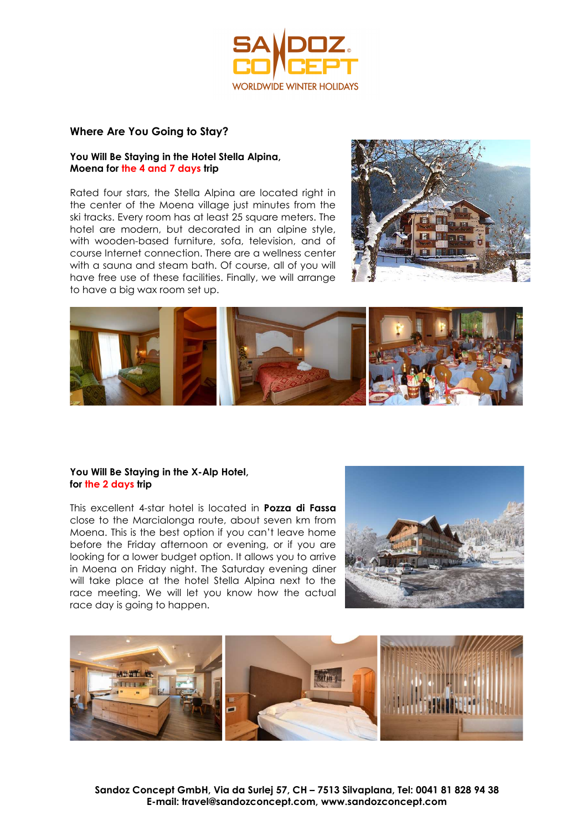

#### **Where Are You Going to Stay?**

#### **You Will Be Staying in the Hotel Stella Alpina, Moena for the 4 and 7 days trip**

Rated four stars, the Stella Alpina are located right in the center of the Moena village just minutes from the ski tracks. Every room has at least 25 square meters. The hotel are modern, but decorated in an alpine style, with wooden-based furniture, sofa, television, and of course Internet connection. There are a wellness center with a sauna and steam bath. Of course, all of you will have free use of these facilities. Finally, we will arrange to have a big wax room set up.





#### **You Will Be Staying in the X-Alp Hotel, for the 2 days trip**

This excellent 4-star hotel is located in **Pozza di Fassa** close to the Marcialonga route, about seven km from Moena. This is the best option if you can't leave home before the Friday afternoon or evening, or if you are looking for a lower budget option. It allows you to arrive in Moena on Friday night. The Saturday evening diner will take place at the hotel Stella Alpina next to the race meeting. We will let you know how the actual race day is going to happen.



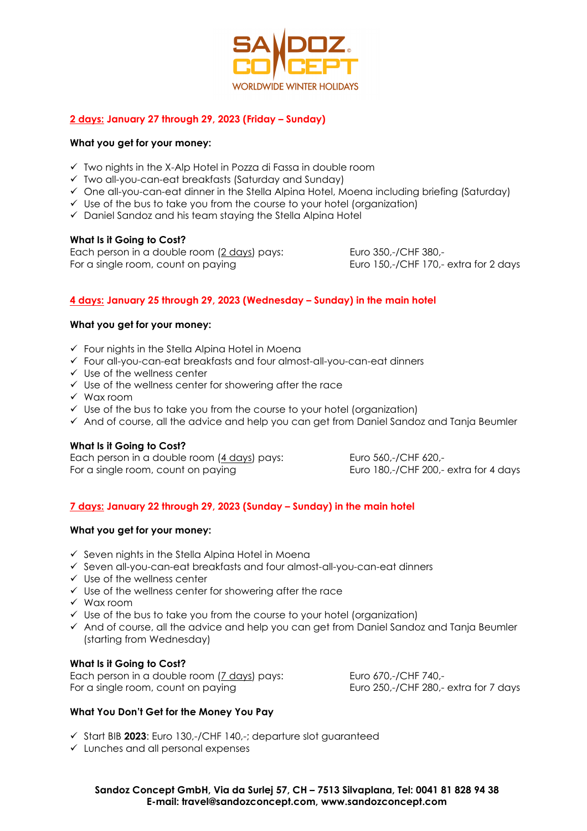

# **2 days: January 27 through 29, 2023 (Friday – Sunday)**

#### **What you get for your money:**

- $\checkmark$  Two nights in the X-Alp Hotel in Pozza di Fassa in double room
- Two all-you-can-eat breakfasts (Saturday and Sunday)
- $\checkmark$  One all-you-can-eat dinner in the Stella Alpina Hotel, Moena including briefing (Saturday)
- $\checkmark$  Use of the bus to take you from the course to your hotel (organization)
- $\checkmark$  Daniel Sandoz and his team staving the Stella Alpina Hotel

#### **What Is it Going to Cost?**

Each person in a double room (2 days) pays: Euro 350,-/CHF 380,-For a single room, count on paying Euro 150,-/CHF 170,- extra for 2 days

# **4 days: January 25 through 29, 2023 (Wednesday – Sunday) in the main hotel**

#### **What you get for your money:**

- $\checkmark$  Four nights in the Stella Alping Hotel in Moena
- Four all-you-can-eat breakfasts and four almost-all-you-can-eat dinners
- $\checkmark$  Use of the wellness center
- $\checkmark$  Use of the wellness center for showering after the race
- $\checkmark$  Wax room
- $\checkmark$  Use of the bus to take you from the course to your hotel (organization)
- $\checkmark$  And of course, all the advice and help you can get from Daniel Sandoz and Tanja Beumler

# **What Is it Going to Cost?**

Each person in a double room (4 days) pays: Euro 560,-/CHF 620,-For a single room, count on paying Euro 180,-/CHF 200,- extra for 4 days

# **7 days: January 22 through 29, 2023 (Sunday – Sunday) in the main hotel**

#### **What you get for your money:**

- $\checkmark$  Seven nights in the Stella Alpina Hotel in Moena
- Seven all-you-can-eat breakfasts and four almost-all-you-can-eat dinners
- $\checkmark$  Use of the wellness center
- $\checkmark$  Use of the wellness center for showering after the race
- Wax room
- $\checkmark$  Use of the bus to take you from the course to your hotel (organization)
- $\checkmark$  And of course, all the advice and help you can get from Daniel Sandoz and Tanja Beumler (starting from Wednesday)

# **What Is it Going to Cost?**

Each person in a double room (7 days) pays: Euro 670,-/CHF 740,- For a single room, count on paying Euro 250,-/CHF 280,- extra for 7 days

#### **What You Don't Get for the Money You Pay**

- Start BIB **2023**: Euro 130,-/CHF 140,-; departure slot guaranteed
- $\checkmark$  Lunches and all personal expenses